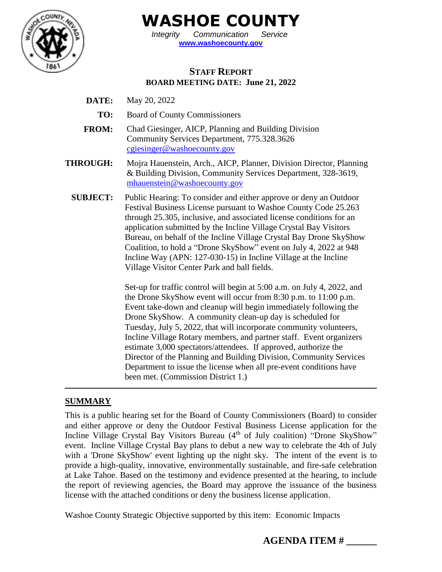

**WASHOE COUNTY**

*Integrity Communication Service* **[www.washoecounty.gov](http://www.washoecounty.gov/)**

# **STAFF REPORT BOARD MEETING DATE: June 21, 2022**

- **DATE:** May 20, 2022
	- **TO:** Board of County Commissioners
- **FROM:** Chad Giesinger, AICP, Planning and Building Division Community Services Department, 775.328.3626 [cgiesinger@washoecounty.gov](mailto:cgiesinger@washoecounty.gov)
- **THROUGH:** Mojra Hauenstein, Arch., AICP, Planner, Division Director, Planning & Building Division, Community Services Department, 328-3619, [mhauenstein@washoecounty.gov](mailto:mhauenstein@washoecounty.gov)
	- **SUBJECT:** Public Hearing: To consider and either approve or deny an Outdoor Festival Business License pursuant to Washoe County Code 25.263 through 25.305, inclusive, and associated license conditions for an application submitted by the Incline Village Crystal Bay Visitors Bureau, on behalf of the Incline Village Crystal Bay Drone SkyShow Coalition, to hold a "Drone SkyShow" event on July 4, 2022 at 948 Incline Way (APN: 127-030-15) in Incline Village at the Incline Village Visitor Center Park and ball fields.

Set-up for traffic control will begin at 5:00 a.m. on July 4, 2022, and the Drone SkyShow event will occur from 8:30 p.m. to 11:00 p.m. Event take-down and cleanup will begin immediately following the Drone SkyShow. A community clean-up day is scheduled for Tuesday, July 5, 2022, that will incorporate community volunteers, Incline Village Rotary members, and partner staff. Event organizers estimate 3,000 spectators/attendees. If approved, authorize the Director of the Planning and Building Division, Community Services Department to issue the license when all pre-event conditions have been met. (Commission District 1.)

# **SUMMARY**

This is a public hearing set for the Board of County Commissioners (Board) to consider and either approve or deny the Outdoor Festival Business License application for the Incline Village Crystal Bay Visitors Bureau (4<sup>th</sup> of July coalition) "Drone SkyShow" event. Incline Village Crystal Bay plans to debut a new way to celebrate the 4th of July with a 'Drone SkyShow' event lighting up the night sky. The intent of the event is to provide a high-quality, innovative, environmentally sustainable, and fire-safe celebration at Lake Tahoe. Based on the testimony and evidence presented at the hearing, to include the report of reviewing agencies, the Board may approve the issuance of the business license with the attached conditions or deny the business license application.

Washoe County Strategic Objective supported by this item: Economic Impacts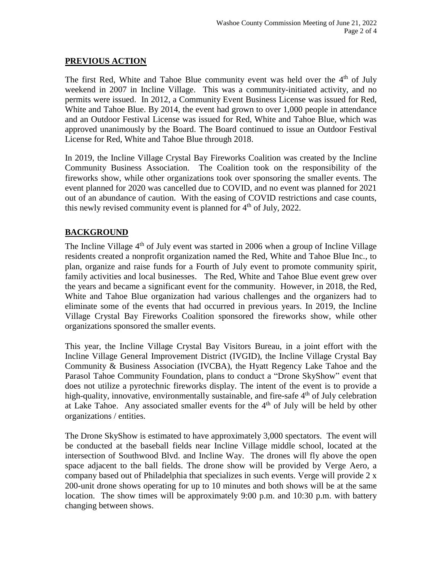### **PREVIOUS ACTION**

The first Red, White and Tahoe Blue community event was held over the  $4<sup>th</sup>$  of July weekend in 2007 in Incline Village. This was a community-initiated activity, and no permits were issued. In 2012, a Community Event Business License was issued for Red, White and Tahoe Blue. By 2014, the event had grown to over 1,000 people in attendance and an Outdoor Festival License was issued for Red, White and Tahoe Blue, which was approved unanimously by the Board. The Board continued to issue an Outdoor Festival License for Red, White and Tahoe Blue through 2018.

In 2019, the Incline Village Crystal Bay Fireworks Coalition was created by the Incline Community Business Association. The Coalition took on the responsibility of the fireworks show, while other organizations took over sponsoring the smaller events. The event planned for 2020 was cancelled due to COVID, and no event was planned for 2021 out of an abundance of caution. With the easing of COVID restrictions and case counts, this newly revised community event is planned for  $4<sup>th</sup>$  of July, 2022.

## **BACKGROUND**

The Incline Village  $4<sup>th</sup>$  of July event was started in 2006 when a group of Incline Village residents created a nonprofit organization named the Red, White and Tahoe Blue Inc., to plan, organize and raise funds for a Fourth of July event to promote community spirit, family activities and local businesses. The Red, White and Tahoe Blue event grew over the years and became a significant event for the community. However, in 2018, the Red, White and Tahoe Blue organization had various challenges and the organizers had to eliminate some of the events that had occurred in previous years. In 2019, the Incline Village Crystal Bay Fireworks Coalition sponsored the fireworks show, while other organizations sponsored the smaller events.

This year, the Incline Village Crystal Bay Visitors Bureau, in a joint effort with the Incline Village General Improvement District (IVGID), the Incline Village Crystal Bay Community & Business Association (IVCBA), the Hyatt Regency Lake Tahoe and the Parasol Tahoe Community Foundation, plans to conduct a "Drone SkyShow" event that does not utilize a pyrotechnic fireworks display. The intent of the event is to provide a high-quality, innovative, environmentally sustainable, and fire-safe 4<sup>th</sup> of July celebration at Lake Tahoe. Any associated smaller events for the 4th of July will be held by other organizations / entities.

The Drone SkyShow is estimated to have approximately 3,000 spectators. The event will be conducted at the baseball fields near Incline Village middle school, located at the intersection of Southwood Blvd. and Incline Way. The drones will fly above the open space adjacent to the ball fields. The drone show will be provided by Verge Aero, a company based out of Philadelphia that specializes in such events. Verge will provide 2 x 200-unit drone shows operating for up to 10 minutes and both shows will be at the same location. The show times will be approximately 9:00 p.m. and 10:30 p.m. with battery changing between shows.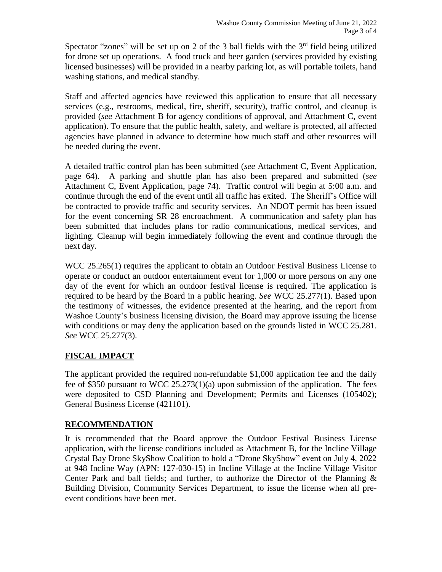Spectator "zones" will be set up on 2 of the 3 ball fields with the  $3<sup>rd</sup>$  field being utilized for drone set up operations. A food truck and beer garden (services provided by existing licensed businesses) will be provided in a nearby parking lot, as will portable toilets, hand washing stations, and medical standby.

Staff and affected agencies have reviewed this application to ensure that all necessary services (e.g., restrooms, medical, fire, sheriff, security), traffic control, and cleanup is provided (*see* Attachment B for agency conditions of approval, and Attachment C, event application). To ensure that the public health, safety, and welfare is protected, all affected agencies have planned in advance to determine how much staff and other resources will be needed during the event.

A detailed traffic control plan has been submitted (*see* Attachment C, Event Application, page 64). A parking and shuttle plan has also been prepared and submitted (*see* Attachment C, Event Application, page 74). Traffic control will begin at 5:00 a.m. and continue through the end of the event until all traffic has exited. The Sheriff's Office will be contracted to provide traffic and security services. An NDOT permit has been issued for the event concerning SR 28 encroachment. A communication and safety plan has been submitted that includes plans for radio communications, medical services, and lighting. Cleanup will begin immediately following the event and continue through the next day.

WCC 25.265(1) requires the applicant to obtain an Outdoor Festival Business License to operate or conduct an outdoor entertainment event for 1,000 or more persons on any one day of the event for which an outdoor festival license is required. The application is required to be heard by the Board in a public hearing. *See* WCC 25.277(1). Based upon the testimony of witnesses, the evidence presented at the hearing, and the report from Washoe County's business licensing division, the Board may approve issuing the license with conditions or may deny the application based on the grounds listed in WCC 25.281. *See* WCC 25.277(3).

# **FISCAL IMPACT**

The applicant provided the required non-refundable \$1,000 application fee and the daily fee of \$350 pursuant to WCC 25.273(1)(a) upon submission of the application. The fees were deposited to CSD Planning and Development; Permits and Licenses (105402); General Business License (421101).

#### **RECOMMENDATION**

It is recommended that the Board approve the Outdoor Festival Business License application, with the license conditions included as Attachment B, for the Incline Village Crystal Bay Drone SkyShow Coalition to hold a "Drone SkyShow" event on July 4, 2022 at 948 Incline Way (APN: 127-030-15) in Incline Village at the Incline Village Visitor Center Park and ball fields; and further, to authorize the Director of the Planning & Building Division, Community Services Department, to issue the license when all preevent conditions have been met.